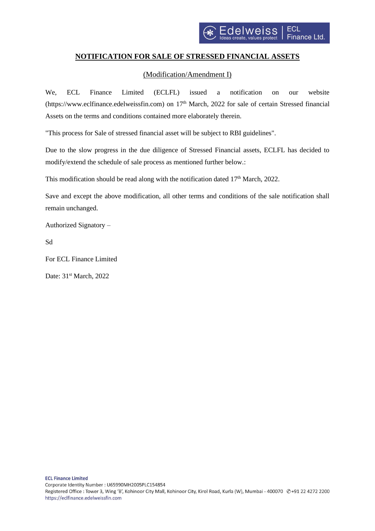## **NOTIFICATION FOR SALE OF STRESSED FINANCIAL ASSETS**

## (Modification/Amendment I)

We, ECL Finance Limited (ECLFL) issued a notification on our website (https://www.eclfinance.edelweissfin.com) on 17<sup>th</sup> March, 2022 for sale of certain Stressed financial Assets on the terms and conditions contained more elaborately therein.

"This process for Sale of stressed financial asset will be subject to RBI guidelines".

Due to the slow progress in the due diligence of Stressed Financial assets, ECLFL has decided to modify/extend the schedule of sale process as mentioned further below.:

This modification should be read along with the notification dated  $17<sup>th</sup>$  March, 2022.

Save and except the above modification, all other terms and conditions of the sale notification shall remain unchanged.

Authorized Signatory –

Sd

For ECL Finance Limited

Date: 31<sup>st</sup> March, 2022